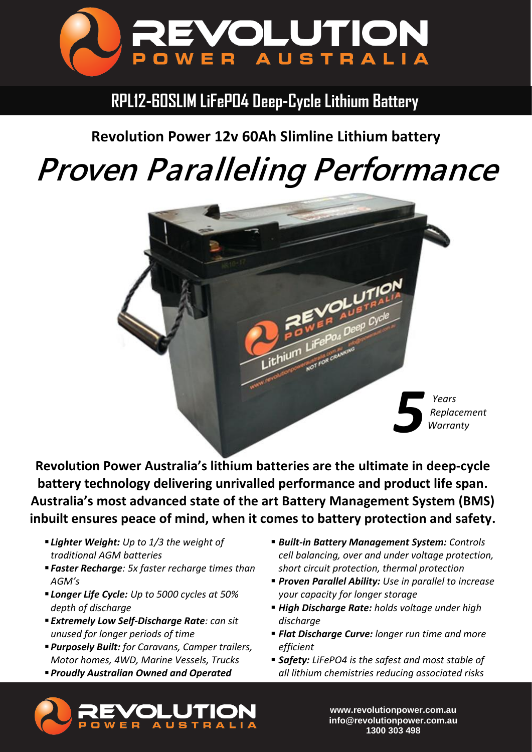

## **RPL12-60SLIM LiFePO4 Deep-Cycle Lithium Battery**

**Revolution Power 12v 60Ah Slimline Lithium battery**

## *Proven Paralleling Performance*



**Revolution Power Australia's lithium batteries are the ultimate in deep-cycle battery technology delivering unrivalled performance and product life span. Australia's most advanced state of the art Battery Management System (BMS) inbuilt ensures peace of mind, when it comes to battery protection and safety.**

- *Lighter Weight: Up to 1/3 the weight of traditional AGM batteries*
- *Faster Recharge: 5x faster recharge times than AGM's*
- *Longer Life Cycle: Up to 5000 cycles at 50% depth of discharge*
- *Extremely Low Self-Discharge Rate: can sit unused for longer periods of time*
- ▪*Purposely Built: for Caravans, Camper trailers, Motor homes, 4WD, Marine Vessels, Trucks*
- ▪*Proudly Australian Owned and Operated*
- *Built-in Battery Management System: Controls cell balancing, over and under voltage protection, short circuit protection, thermal protection*
- *Proven Parallel Ability: Use in parallel to increase your capacity for longer storage*
- *High Discharge Rate: holds voltage under high discharge*
- *Flat Discharge Curve: longer run time and more efficient*
- **Safety:** LiFePO4 is the safest and most stable of *all lithium chemistries reducing associated risks*